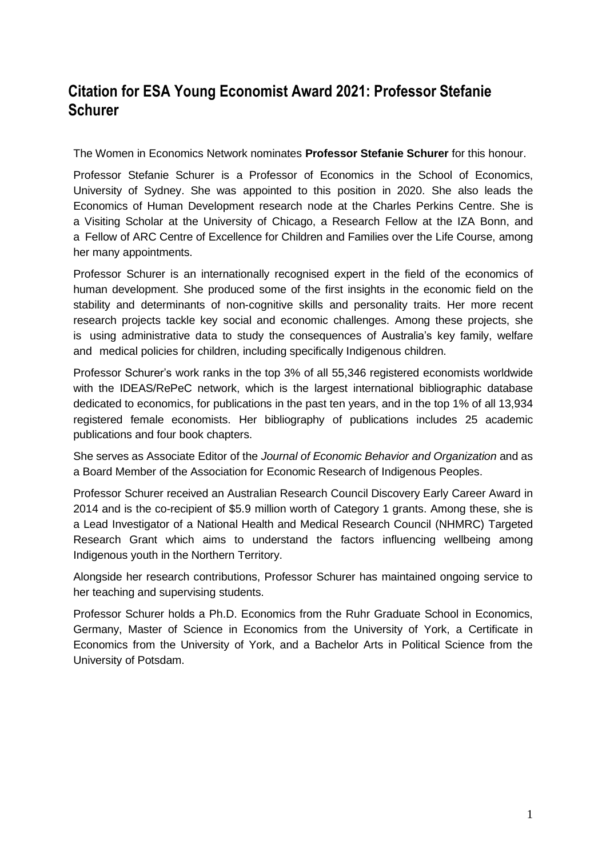## **Citation for ESA Young Economist Award 2021: Professor Stefanie Schurer**

The Women in Economics Network nominates **Professor Stefanie Schurer** for this honour.

Professor Stefanie Schurer is a Professor of Economics in the School of Economics, University of Sydney. She was appointed to this position in 2020. She also leads the Economics of Human Development research node at the Charles Perkins Centre. She is a Visiting Scholar at the University of Chicago, a Research Fellow at the IZA Bonn, and a Fellow of ARC Centre of Excellence for Children and Families over the Life Course, among her many appointments.

Professor Schurer is an internationally recognised expert in the field of the economics of human development. She produced some of the first insights in the economic field on the stability and determinants of non-cognitive skills and personality traits. Her more recent research projects tackle key social and economic challenges. Among these projects, she is using administrative data to study the consequences of Australia's key family, welfare and medical policies for children, including specifically Indigenous children.

Professor Schurer's work ranks in the top 3% of all 55,346 registered economists worldwide with the IDEAS/RePeC network, which is the largest international bibliographic database dedicated to economics, for publications in the past ten years, and in the top 1% of all 13,934 registered female economists. Her bibliography of publications includes 25 academic publications and four book chapters.

She serves as Associate Editor of the *Journal of Economic Behavior and Organization* and as a Board Member of the Association for Economic Research of Indigenous Peoples.

Professor Schurer received an Australian Research Council Discovery Early Career Award in 2014 and is the co-recipient of \$5.9 million worth of Category 1 grants. Among these, she is a Lead Investigator of a National Health and Medical Research Council (NHMRC) Targeted Research Grant which aims to understand the factors influencing wellbeing among Indigenous youth in the Northern Territory.

Alongside her research contributions, Professor Schurer has maintained ongoing service to her teaching and supervising students.

Professor Schurer holds a Ph.D. Economics from the Ruhr Graduate School in Economics, Germany, Master of Science in Economics from the University of York, a Certificate in Economics from the University of York, and a Bachelor Arts in Political Science from the University of Potsdam.